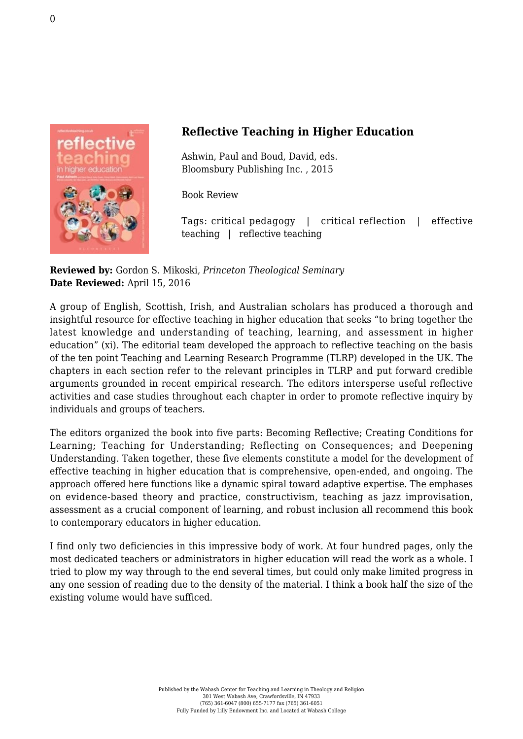

## **Reflective Teaching in Higher Education**

Ashwin, Paul and Boud, David, eds. [Bloomsbury Publishing Inc. , 2015](http://www.bloomsbury.com/us/reflective-teaching-in-higher-education-9781441197559/?utm_source=Adestra&utm_medium=email&utm_content=Reflective%20Teaching%20in%20Higher%20Education&utm_campaign=Copy%20of%20NL-SOLUS_RT%20in%20Higher%20Education%20for%20all_F/)

Book Review

Tags: critical pedagogy | critical reflection | effective teaching | reflective teaching

**Reviewed by:** Gordon S. Mikoski, *Princeton Theological Seminary* **Date Reviewed:** April 15, 2016

A group of English, Scottish, Irish, and Australian scholars has produced a thorough and insightful resource for effective teaching in higher education that seeks "to bring together the latest knowledge and understanding of teaching, learning, and assessment in higher education" (xi). The editorial team developed the approach to reflective teaching on the basis of the ten point Teaching and Learning Research Programme (TLRP) developed in the UK. The chapters in each section refer to the relevant principles in TLRP and put forward credible arguments grounded in recent empirical research. The editors intersperse useful reflective activities and case studies throughout each chapter in order to promote reflective inquiry by individuals and groups of teachers.

The editors organized the book into five parts: Becoming Reflective; Creating Conditions for Learning; Teaching for Understanding; Reflecting on Consequences; and Deepening Understanding. Taken together, these five elements constitute a model for the development of effective teaching in higher education that is comprehensive, open-ended, and ongoing. The approach offered here functions like a dynamic spiral toward adaptive expertise. The emphases on evidence-based theory and practice, constructivism, teaching as jazz improvisation, assessment as a crucial component of learning, and robust inclusion all recommend this book to contemporary educators in higher education.

I find only two deficiencies in this impressive body of work. At four hundred pages, only the most dedicated teachers or administrators in higher education will read the work as a whole. I tried to plow my way through to the end several times, but could only make limited progress in any one session of reading due to the density of the material. I think a book half the size of the existing volume would have sufficed.